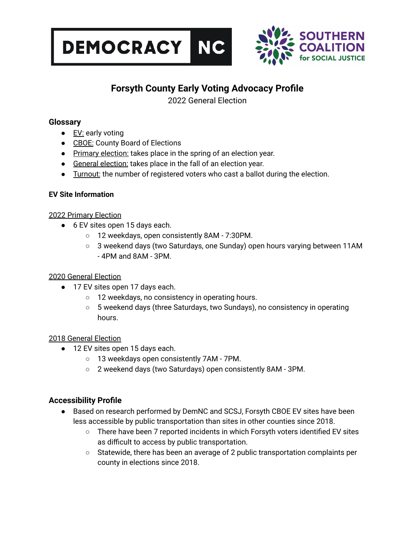



# **Forsyth County Early Voting Advocacy Profile**

2022 General Election

### **Glossary**

- EV: early voting
- CBOE: County Board of Elections
- Primary election: takes place in the spring of an election year.
- General election: takes place in the fall of an election year.
- Turnout: the number of registered voters who cast a ballot during the election.

#### **EV Site Information**

#### 2022 Primary Election

- 6 EV sites open 15 days each.
	- 12 weekdays, open consistently 8AM 7:30PM.
	- 3 weekend days (two Saturdays, one Sunday) open hours varying between 11AM - 4PM and 8AM - 3PM.

#### 2020 General Election

- 17 EV sites open 17 days each.
	- 12 weekdays, no consistency in operating hours.
	- 5 weekend days (three Saturdays, two Sundays), no consistency in operating hours.

#### 2018 General Election

- 12 EV sites open 15 days each.
	- 13 weekdays open consistently 7AM 7PM.
	- 2 weekend days (two Saturdays) open consistently 8AM 3PM.

## **Accessibility Profile**

- Based on research performed by DemNC and SCSJ, Forsyth CBOE EV sites have been less accessible by public transportation than sites in other counties since 2018.
	- There have been 7 reported incidents in which Forsyth voters identified EV sites as difficult to access by public transportation.
	- Statewide, there has been an average of 2 public transportation complaints per county in elections since 2018.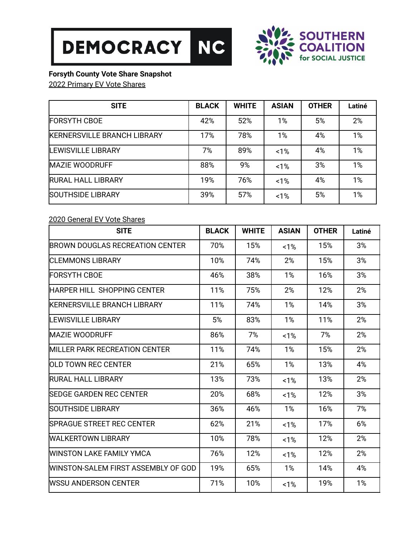



## **Forsyth County Vote Share Snapshot**

2022 Primary EV Vote Shares

| <b>SITE</b>                        | <b>BLACK</b> | <b>WHITE</b> | <b>ASIAN</b> | <b>OTHER</b> | Latiné |
|------------------------------------|--------------|--------------|--------------|--------------|--------|
| <b>FORSYTH CBOE</b>                | 42%          | 52%          | 1%           | 5%           | 2%     |
| <b>KERNERSVILLE BRANCH LIBRARY</b> | 17%          | 78%          | 1%           | 4%           | 1%     |
| <b>LEWISVILLE LIBRARY</b>          | 7%           | 89%          | 1%           | 4%           | 1%     |
| <b>MAZIE WOODRUFF</b>              | 88%          | 9%           | 1%           | 3%           | 1%     |
| <b>RURAL HALL LIBRARY</b>          | 19%          | 76%          | 1%           | 4%           | 1%     |
| <b>SOUTHSIDE LIBRARY</b>           | 39%          | 57%          | 1%           | 5%           | 1%     |

## 2020 General EV Vote Shares

| <b>SITE</b>                           | <b>BLACK</b> | <b>WHITE</b> | <b>ASIAN</b> | <b>OTHER</b> | Latiné |
|---------------------------------------|--------------|--------------|--------------|--------------|--------|
| BROWN DOUGLAS RECREATION CENTER       | 70%          | 15%          | 1%           | 15%          | 3%     |
| ICLEMMONS LIBRARY                     | 10%          | 74%          | 2%           | 15%          | 3%     |
| FORSYTH CBOE                          | 46%          | 38%          | 1%           | 16%          | 3%     |
| HARPER HILL SHOPPING CENTER           | 11%          | 75%          | 2%           | 12%          | 2%     |
| <b>KERNERSVILLE BRANCH LIBRARY</b>    | 11%          | 74%          | 1%           | 14%          | 3%     |
| <b>LEWISVILLE LIBRARY</b>             | 5%           | 83%          | 1%           | 11%          | 2%     |
| <b>MAZIE WOODRUFF</b>                 | 86%          | 7%           | 1%           | 7%           | 2%     |
| <b>IMILLER PARK RECREATION CENTER</b> | 11%          | 74%          | 1%           | 15%          | 2%     |
| <b>IOLD TOWN REC CENTER</b>           | 21%          | 65%          | 1%           | 13%          | 4%     |
| <b>RURAL HALL LIBRARY</b>             | 13%          | 73%          | 1%           | 13%          | 2%     |
| <b>ISEDGE GARDEN REC CENTER</b>       | 20%          | 68%          | 1%           | 12%          | 3%     |
| <b>ISOUTHSIDE LIBRARY</b>             | 36%          | 46%          | 1%           | 16%          | 7%     |
| <b>SPRAGUE STREET REC CENTER</b>      | 62%          | 21%          | 1%           | 17%          | 6%     |
| WALKERTOWN LIBRARY                    | 10%          | 78%          | 1%           | 12%          | 2%     |
| WINSTON LAKE FAMILY YMCA              | 76%          | 12%          | 1%           | 12%          | 2%     |
| WINSTON-SALEM FIRST ASSEMBLY OF GOD   | 19%          | 65%          | 1%           | 14%          | 4%     |
| WSSU ANDERSON CENTER                  | 71%          | 10%          | 1%           | 19%          | 1%     |